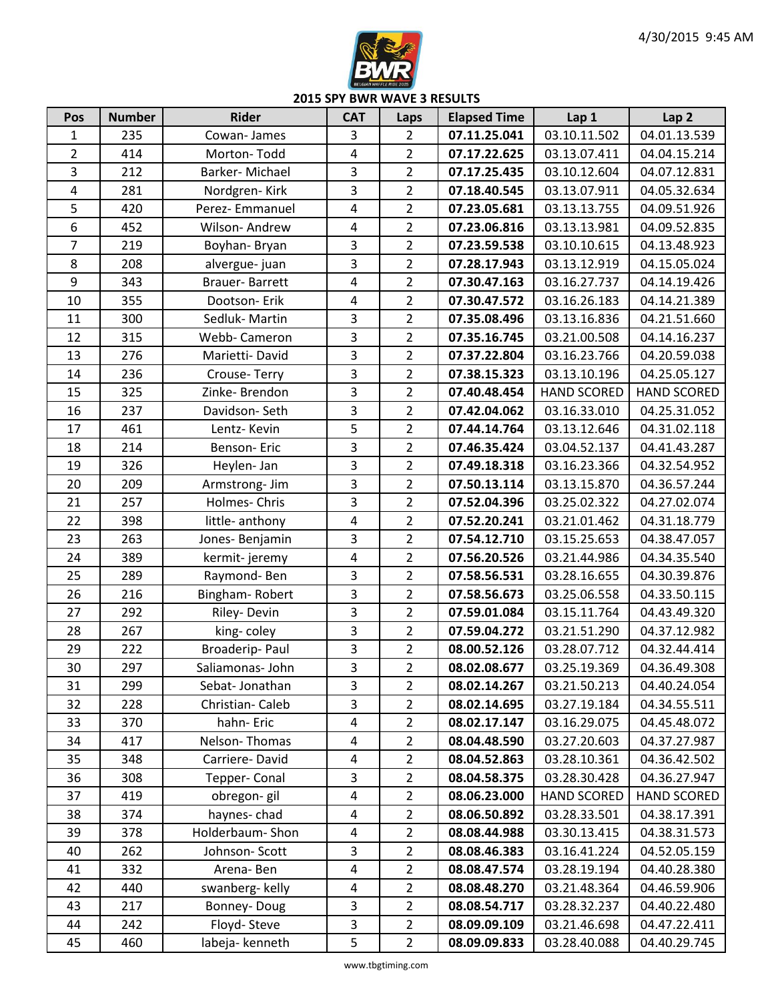

| Pos              | <b>Number</b> | <b>Rider</b>     | <b>CAT</b>              | Laps           | <b>Elapsed Time</b> | Lap 1              | Lap <sub>2</sub>   |
|------------------|---------------|------------------|-------------------------|----------------|---------------------|--------------------|--------------------|
| $\mathbf 1$      | 235           | Cowan-James      | 3                       | $\overline{2}$ | 07.11.25.041        | 03.10.11.502       | 04.01.13.539       |
| $\overline{2}$   | 414           | Morton-Todd      | $\overline{\mathbf{4}}$ | $\overline{2}$ | 07.17.22.625        | 03.13.07.411       | 04.04.15.214       |
| $\overline{3}$   | 212           | Barker-Michael   | $\overline{3}$          | $\overline{2}$ | 07.17.25.435        | 03.10.12.604       | 04.07.12.831       |
| 4                | 281           | Nordgren-Kirk    | 3                       | $\overline{2}$ | 07.18.40.545        | 03.13.07.911       | 04.05.32.634       |
| 5                | 420           | Perez- Emmanuel  | $\overline{a}$          | $\overline{2}$ | 07.23.05.681        | 03.13.13.755       | 04.09.51.926       |
| $\boldsymbol{6}$ | 452           | Wilson-Andrew    | $\overline{4}$          | $\overline{2}$ | 07.23.06.816        | 03.13.13.981       | 04.09.52.835       |
| $\overline{7}$   | 219           | Boyhan-Bryan     | $\overline{3}$          | $\overline{2}$ | 07.23.59.538        | 03.10.10.615       | 04.13.48.923       |
| 8                | 208           | alvergue-juan    | $\overline{3}$          | $\overline{2}$ | 07.28.17.943        | 03.13.12.919       | 04.15.05.024       |
| 9                | 343           | Brauer-Barrett   | 4                       | $\overline{2}$ | 07.30.47.163        | 03.16.27.737       | 04.14.19.426       |
| 10               | 355           | Dootson- Erik    | $\overline{4}$          | $\overline{2}$ | 07.30.47.572        | 03.16.26.183       | 04.14.21.389       |
| 11               | 300           | Sedluk-Martin    | $\overline{3}$          | $\overline{2}$ | 07.35.08.496        | 03.13.16.836       | 04.21.51.660       |
| 12               | 315           | Webb- Cameron    | $\overline{3}$          | $\overline{2}$ | 07.35.16.745        | 03.21.00.508       | 04.14.16.237       |
| 13               | 276           | Marietti-David   | $\overline{3}$          | $\overline{2}$ | 07.37.22.804        | 03.16.23.766       | 04.20.59.038       |
| 14               | 236           | Crouse-Terry     | $\overline{3}$          | $\overline{2}$ | 07.38.15.323        | 03.13.10.196       | 04.25.05.127       |
| 15               | 325           | Zinke-Brendon    | 3                       | $\overline{2}$ | 07.40.48.454        | <b>HAND SCORED</b> | <b>HAND SCORED</b> |
| 16               | 237           | Davidson-Seth    | $\overline{3}$          | $\overline{2}$ | 07.42.04.062        | 03.16.33.010       | 04.25.31.052       |
| 17               | 461           | Lentz-Kevin      | 5                       | $\overline{2}$ | 07.44.14.764        | 03.13.12.646       | 04.31.02.118       |
| 18               | 214           | Benson-Eric      | $\overline{3}$          | $\overline{2}$ | 07.46.35.424        | 03.04.52.137       | 04.41.43.287       |
| 19               | 326           | Heylen- Jan      | $\overline{3}$          | $\overline{2}$ | 07.49.18.318        | 03.16.23.366       | 04.32.54.952       |
| 20               | 209           | Armstrong-Jim    | $\overline{3}$          | $\overline{2}$ | 07.50.13.114        | 03.13.15.870       | 04.36.57.244       |
| 21               | 257           | Holmes- Chris    | 3                       | $\overline{2}$ | 07.52.04.396        | 03.25.02.322       | 04.27.02.074       |
| 22               | 398           | little- anthony  | $\overline{4}$          | $\overline{2}$ | 07.52.20.241        | 03.21.01.462       | 04.31.18.779       |
| 23               | 263           | Jones-Benjamin   | 3                       | $\overline{2}$ | 07.54.12.710        | 03.15.25.653       | 04.38.47.057       |
| 24               | 389           | kermit-jeremy    | $\overline{a}$          | $\overline{2}$ | 07.56.20.526        | 03.21.44.986       | 04.34.35.540       |
| 25               | 289           | Raymond-Ben      | $\overline{3}$          | $\overline{2}$ | 07.58.56.531        | 03.28.16.655       | 04.30.39.876       |
| 26               | 216           | Bingham-Robert   | $\overline{3}$          | $\overline{2}$ | 07.58.56.673        | 03.25.06.558       | 04.33.50.115       |
| 27               | 292           | Riley-Devin      | $\overline{3}$          | $\overline{2}$ | 07.59.01.084        | 03.15.11.764       | 04.43.49.320       |
| 28               | 267           | king-coley       | 3                       | $\overline{2}$ | 07.59.04.272        | 03.21.51.290       | 04.37.12.982       |
| 29               | 222           | Broaderip-Paul   | $\mathbf{3}$            | $\overline{2}$ | 08.00.52.126        | 03.28.07.712       | 04.32.44.414       |
| 30               | 297           | Saliamonas- John | $\overline{3}$          | $\overline{2}$ | 08.02.08.677        | 03.25.19.369       | 04.36.49.308       |
| 31               | 299           | Sebat-Jonathan   | 3                       | $\overline{2}$ | 08.02.14.267        | 03.21.50.213       | 04.40.24.054       |
| 32               | 228           | Christian-Caleb  | $\overline{\mathbf{3}}$ | $\overline{2}$ | 08.02.14.695        | 03.27.19.184       | 04.34.55.511       |
| 33               | 370           | hahn-Eric        | 4                       | $\overline{2}$ | 08.02.17.147        | 03.16.29.075       | 04.45.48.072       |
| 34               | 417           | Nelson-Thomas    | $\overline{a}$          | $\overline{2}$ | 08.04.48.590        | 03.27.20.603       | 04.37.27.987       |
| 35               | 348           | Carriere-David   | 4                       | $\overline{2}$ | 08.04.52.863        | 03.28.10.361       | 04.36.42.502       |
| 36               | 308           | Tepper-Conal     | 3                       | $\overline{2}$ | 08.04.58.375        | 03.28.30.428       | 04.36.27.947       |
| 37               | 419           | obregon-gil      | $\overline{\mathbf{4}}$ | $\overline{2}$ | 08.06.23.000        | <b>HAND SCORED</b> | <b>HAND SCORED</b> |
| 38               | 374           | haynes-chad      | 4                       | $\overline{2}$ | 08.06.50.892        | 03.28.33.501       | 04.38.17.391       |
| 39               | 378           | Holderbaum-Shon  | 4                       | $\overline{2}$ | 08.08.44.988        | 03.30.13.415       | 04.38.31.573       |
| 40               | 262           | Johnson-Scott    | 3                       | $\overline{2}$ | 08.08.46.383        | 03.16.41.224       | 04.52.05.159       |
| 41               | 332           | Arena-Ben        | $\overline{4}$          | $\overline{2}$ | 08.08.47.574        | 03.28.19.194       | 04.40.28.380       |
| 42               | 440           | swanberg- kelly  | 4                       | $\overline{2}$ | 08.08.48.270        | 03.21.48.364       | 04.46.59.906       |
| 43               | 217           | Bonney-Doug      | 3                       | $\overline{2}$ | 08.08.54.717        | 03.28.32.237       | 04.40.22.480       |
| 44               | 242           | Floyd-Steve      | $\overline{\mathbf{3}}$ | $\overline{2}$ | 08.09.09.109        | 03.21.46.698       | 04.47.22.411       |
| 45               | 460           | labeja- kenneth  | 5                       | $\overline{2}$ | 08.09.09.833        | 03.28.40.088       | 04.40.29.745       |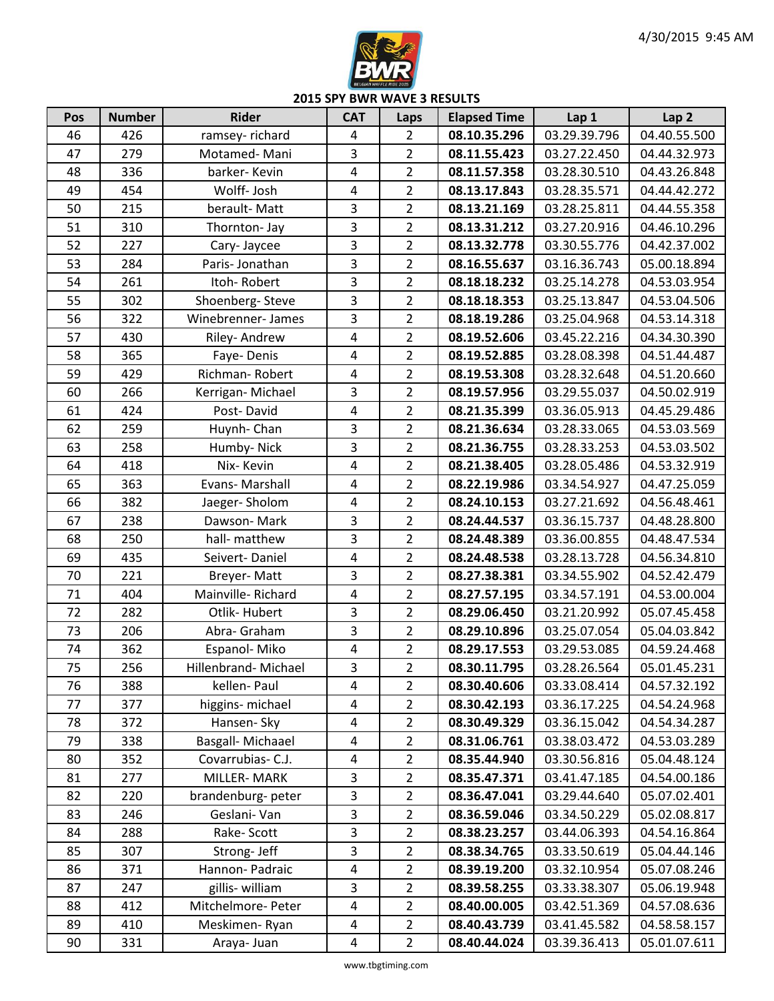

| Pos | <b>Number</b> | <b>Rider</b>         | <b>CAT</b>              | Laps           | <b>Elapsed Time</b> | Lap 1        | Lap <sub>2</sub> |
|-----|---------------|----------------------|-------------------------|----------------|---------------------|--------------|------------------|
| 46  | 426           | ramsey-richard       | 4                       | $\overline{2}$ | 08.10.35.296        | 03.29.39.796 | 04.40.55.500     |
| 47  | 279           | Motamed-Mani         | 3                       | $\overline{2}$ | 08.11.55.423        | 03.27.22.450 | 04.44.32.973     |
| 48  | 336           | barker-Kevin         | $\overline{4}$          | $\overline{2}$ | 08.11.57.358        | 03.28.30.510 | 04.43.26.848     |
| 49  | 454           | Wolff- Josh          | $\overline{4}$          | $\overline{2}$ | 08.13.17.843        | 03.28.35.571 | 04.44.42.272     |
| 50  | 215           | berault-Matt         | 3                       | $\overline{2}$ | 08.13.21.169        | 03.28.25.811 | 04.44.55.358     |
| 51  | 310           | Thornton- Jay        | $\overline{3}$          | $\overline{2}$ | 08.13.31.212        | 03.27.20.916 | 04.46.10.296     |
| 52  | 227           | Cary-Jaycee          | 3                       | $\overline{2}$ | 08.13.32.778        | 03.30.55.776 | 04.42.37.002     |
| 53  | 284           | Paris-Jonathan       | 3                       | $\overline{2}$ | 08.16.55.637        | 03.16.36.743 | 05.00.18.894     |
| 54  | 261           | Itoh-Robert          | 3                       | $\overline{2}$ | 08.18.18.232        | 03.25.14.278 | 04.53.03.954     |
| 55  | 302           | Shoenberg-Steve      | 3                       | $\overline{2}$ | 08.18.18.353        | 03.25.13.847 | 04.53.04.506     |
| 56  | 322           | Winebrenner-James    | $\overline{3}$          | $\overline{2}$ | 08.18.19.286        | 03.25.04.968 | 04.53.14.318     |
| 57  | 430           | Riley-Andrew         | $\overline{\mathbf{4}}$ | $\overline{2}$ | 08.19.52.606        | 03.45.22.216 | 04.34.30.390     |
| 58  | 365           | Faye-Denis           | 4                       | $\overline{2}$ | 08.19.52.885        | 03.28.08.398 | 04.51.44.487     |
| 59  | 429           | Richman-Robert       | $\overline{\mathbf{4}}$ | $\overline{2}$ | 08.19.53.308        | 03.28.32.648 | 04.51.20.660     |
| 60  | 266           | Kerrigan-Michael     | 3                       | $\overline{2}$ | 08.19.57.956        | 03.29.55.037 | 04.50.02.919     |
| 61  | 424           | Post-David           | $\overline{4}$          | $\overline{2}$ | 08.21.35.399        | 03.36.05.913 | 04.45.29.486     |
| 62  | 259           | Huynh-Chan           | 3                       | $\overline{2}$ | 08.21.36.634        | 03.28.33.065 | 04.53.03.569     |
| 63  | 258           | Humby-Nick           | $\overline{3}$          | $\overline{2}$ | 08.21.36.755        | 03.28.33.253 | 04.53.03.502     |
| 64  | 418           | Nix-Kevin            | 4                       | $\overline{2}$ | 08.21.38.405        | 03.28.05.486 | 04.53.32.919     |
| 65  | 363           | Evans-Marshall       | 4                       | $\overline{2}$ | 08.22.19.986        | 03.34.54.927 | 04.47.25.059     |
| 66  | 382           | Jaeger-Sholom        | $\overline{\mathbf{4}}$ | $\overline{2}$ | 08.24.10.153        | 03.27.21.692 | 04.56.48.461     |
| 67  | 238           | Dawson-Mark          | 3                       | $\overline{2}$ | 08.24.44.537        | 03.36.15.737 | 04.48.28.800     |
| 68  | 250           | hall- matthew        | 3                       | $\overline{2}$ | 08.24.48.389        | 03.36.00.855 | 04.48.47.534     |
| 69  | 435           | Seivert-Daniel       | $\overline{\mathbf{4}}$ | $\overline{2}$ | 08.24.48.538        | 03.28.13.728 | 04.56.34.810     |
| 70  | 221           | Breyer-Matt          | $\overline{3}$          | $\overline{2}$ | 08.27.38.381        | 03.34.55.902 | 04.52.42.479     |
| 71  | 404           | Mainville-Richard    | $\overline{\mathbf{4}}$ | $\overline{2}$ | 08.27.57.195        | 03.34.57.191 | 04.53.00.004     |
| 72  | 282           | Otlik-Hubert         | 3                       | $\overline{2}$ | 08.29.06.450        | 03.21.20.992 | 05.07.45.458     |
| 73  | 206           | Abra- Graham         | 3                       | $\overline{2}$ | 08.29.10.896        | 03.25.07.054 | 05.04.03.842     |
| 74  | 362           | Espanol-Miko         | $\overline{4}$          | $\overline{2}$ | 08.29.17.553        | 03.29.53.085 | 04.59.24.468     |
| 75  | 256           | Hillenbrand- Michael | 3                       | $\overline{2}$ | 08.30.11.795        | 03.28.26.564 | 05.01.45.231     |
| 76  | 388           | kellen-Paul          | 4                       | $\overline{2}$ | 08.30.40.606        | 03.33.08.414 | 04.57.32.192     |
| 77  | 377           | higgins- michael     | 4                       | $\overline{2}$ | 08.30.42.193        | 03.36.17.225 | 04.54.24.968     |
| 78  | 372           | Hansen- Sky          | 4                       | $\overline{2}$ | 08.30.49.329        | 03.36.15.042 | 04.54.34.287     |
| 79  | 338           | Basgall- Michaael    | 4                       | $\overline{2}$ | 08.31.06.761        | 03.38.03.472 | 04.53.03.289     |
| 80  | 352           | Covarrubias-C.J.     | 4                       | $\overline{2}$ | 08.35.44.940        | 03.30.56.816 | 05.04.48.124     |
| 81  | 277           | MILLER-MARK          | 3                       | $\overline{2}$ | 08.35.47.371        | 03.41.47.185 | 04.54.00.186     |
| 82  | 220           | brandenburg-peter    | $\overline{3}$          | $\overline{2}$ | 08.36.47.041        | 03.29.44.640 | 05.07.02.401     |
| 83  | 246           | Geslani-Van          | 3                       | $\overline{2}$ | 08.36.59.046        | 03.34.50.229 | 05.02.08.817     |
| 84  | 288           | Rake-Scott           | 3                       | $\overline{2}$ | 08.38.23.257        | 03.44.06.393 | 04.54.16.864     |
| 85  | 307           | Strong- Jeff         | 3                       | $\overline{2}$ | 08.38.34.765        | 03.33.50.619 | 05.04.44.146     |
| 86  | 371           | Hannon-Padraic       | 4                       | $\overline{2}$ | 08.39.19.200        | 03.32.10.954 | 05.07.08.246     |
| 87  | 247           | gillis- william      | 3                       | $\overline{2}$ | 08.39.58.255        | 03.33.38.307 | 05.06.19.948     |
| 88  | 412           | Mitchelmore- Peter   | $\overline{\mathbf{4}}$ | $\overline{2}$ | 08.40.00.005        | 03.42.51.369 | 04.57.08.636     |
| 89  | 410           | Meskimen-Ryan        | 4                       | $\overline{2}$ | 08.40.43.739        | 03.41.45.582 | 04.58.58.157     |
| 90  | 331           | Araya- Juan          | 4                       | $\overline{2}$ | 08.40.44.024        | 03.39.36.413 | 05.01.07.611     |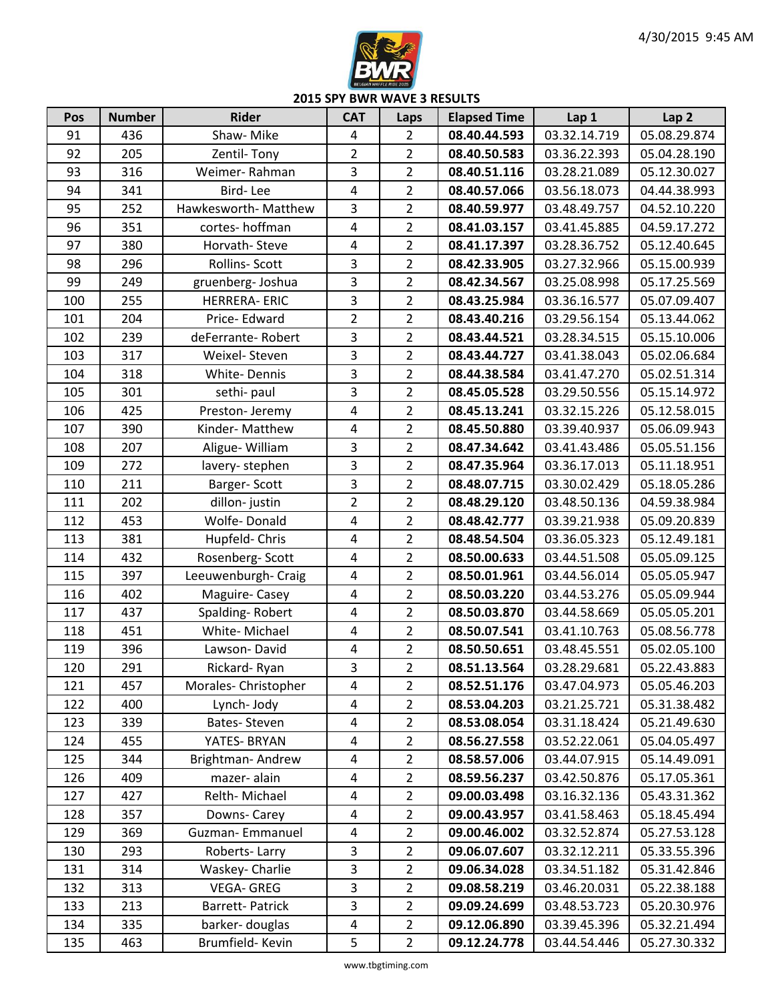

| Pos | <b>Number</b> | <b>Rider</b>           | <b>CAT</b>              | Laps           | <b>Elapsed Time</b> | Lap 1        | Lap <sub>2</sub> |
|-----|---------------|------------------------|-------------------------|----------------|---------------------|--------------|------------------|
| 91  | 436           | Shaw-Mike              | $\overline{4}$          | $\overline{2}$ | 08.40.44.593        | 03.32.14.719 | 05.08.29.874     |
| 92  | 205           | Zentil-Tony            | $\overline{2}$          | $\overline{2}$ | 08.40.50.583        | 03.36.22.393 | 05.04.28.190     |
| 93  | 316           | Weimer-Rahman          | 3                       | $\overline{2}$ | 08.40.51.116        | 03.28.21.089 | 05.12.30.027     |
| 94  | 341           | Bird-Lee               | 4                       | $\overline{2}$ | 08.40.57.066        | 03.56.18.073 | 04.44.38.993     |
| 95  | 252           | Hawkesworth- Matthew   | $\overline{3}$          | $\overline{2}$ | 08.40.59.977        | 03.48.49.757 | 04.52.10.220     |
| 96  | 351           | cortes-hoffman         | $\overline{4}$          | $\overline{2}$ | 08.41.03.157        | 03.41.45.885 | 04.59.17.272     |
| 97  | 380           | Horvath-Steve          | $\overline{\mathbf{4}}$ | $\overline{2}$ | 08.41.17.397        | 03.28.36.752 | 05.12.40.645     |
| 98  | 296           | Rollins-Scott          | 3                       | $\overline{2}$ | 08.42.33.905        | 03.27.32.966 | 05.15.00.939     |
| 99  | 249           | gruenberg-Joshua       | 3                       | $\overline{2}$ | 08.42.34.567        | 03.25.08.998 | 05.17.25.569     |
| 100 | 255           | <b>HERRERA-ERIC</b>    | 3                       | $\overline{2}$ | 08.43.25.984        | 03.36.16.577 | 05.07.09.407     |
| 101 | 204           | Price-Edward           | $\overline{2}$          | $\overline{2}$ | 08.43.40.216        | 03.29.56.154 | 05.13.44.062     |
| 102 | 239           | deFerrante-Robert      | 3                       | $\overline{2}$ | 08.43.44.521        | 03.28.34.515 | 05.15.10.006     |
| 103 | 317           | Weixel-Steven          | 3                       | $\overline{2}$ | 08.43.44.727        | 03.41.38.043 | 05.02.06.684     |
| 104 | 318           | White-Dennis           | 3                       | $\overline{2}$ | 08.44.38.584        | 03.41.47.270 | 05.02.51.314     |
| 105 | 301           | sethi-paul             | 3                       | $\overline{2}$ | 08.45.05.528        | 03.29.50.556 | 05.15.14.972     |
| 106 | 425           | Preston-Jeremy         | 4                       | $\overline{2}$ | 08.45.13.241        | 03.32.15.226 | 05.12.58.015     |
| 107 | 390           | Kinder-Matthew         | $\overline{4}$          | $\overline{2}$ | 08.45.50.880        | 03.39.40.937 | 05.06.09.943     |
| 108 | 207           | Aligue- William        | $\overline{3}$          | $\overline{2}$ | 08.47.34.642        | 03.41.43.486 | 05.05.51.156     |
| 109 | 272           | lavery-stephen         | $\overline{3}$          | $\overline{2}$ | 08.47.35.964        | 03.36.17.013 | 05.11.18.951     |
| 110 | 211           | Barger-Scott           | 3                       | $\overline{2}$ | 08.48.07.715        | 03.30.02.429 | 05.18.05.286     |
| 111 | 202           | dillon-justin          | $\overline{2}$          | $\overline{2}$ | 08.48.29.120        | 03.48.50.136 | 04.59.38.984     |
| 112 | 453           | Wolfe-Donald           | $\overline{4}$          | $\overline{2}$ | 08.48.42.777        | 03.39.21.938 | 05.09.20.839     |
| 113 | 381           | Hupfeld-Chris          | $\overline{4}$          | $\overline{2}$ | 08.48.54.504        | 03.36.05.323 | 05.12.49.181     |
| 114 | 432           | Rosenberg-Scott        | $\overline{4}$          | $\overline{2}$ | 08.50.00.633        | 03.44.51.508 | 05.05.09.125     |
| 115 | 397           | Leeuwenburgh- Craig    | $\overline{4}$          | $\overline{2}$ | 08.50.01.961        | 03.44.56.014 | 05.05.05.947     |
| 116 | 402           | Maguire-Casey          | $\overline{4}$          | $\overline{2}$ | 08.50.03.220        | 03.44.53.276 | 05.05.09.944     |
| 117 | 437           | Spalding-Robert        | $\overline{4}$          | $\overline{2}$ | 08.50.03.870        | 03.44.58.669 | 05.05.05.201     |
| 118 | 451           | White-Michael          | $\overline{\mathbf{4}}$ | $\overline{2}$ | 08.50.07.541        | 03.41.10.763 | 05.08.56.778     |
| 119 | 396           | Lawson-David           | $\overline{a}$          | $\overline{2}$ | 08.50.50.651        | 03.48.45.551 | 05.02.05.100     |
| 120 | 291           | Rickard-Ryan           | $\overline{3}$          | $\overline{2}$ | 08.51.13.564        | 03.28.29.681 | 05.22.43.883     |
| 121 | 457           | Morales-Christopher    | 4                       | $\overline{2}$ | 08.52.51.176        | 03.47.04.973 | 05.05.46.203     |
| 122 | 400           | Lynch-Jody             | 4                       | $\overline{2}$ | 08.53.04.203        | 03.21.25.721 | 05.31.38.482     |
| 123 | 339           | Bates-Steven           | 4                       | $\overline{2}$ | 08.53.08.054        | 03.31.18.424 | 05.21.49.630     |
| 124 | 455           | YATES- BRYAN           | 4                       | $\overline{2}$ | 08.56.27.558        | 03.52.22.061 | 05.04.05.497     |
| 125 | 344           | Brightman-Andrew       | 4                       | $\overline{2}$ | 08.58.57.006        | 03.44.07.915 | 05.14.49.091     |
| 126 | 409           | mazer-alain            | 4                       | $\overline{2}$ | 08.59.56.237        | 03.42.50.876 | 05.17.05.361     |
| 127 | 427           | Relth-Michael          | 4                       | $\overline{2}$ | 09.00.03.498        | 03.16.32.136 | 05.43.31.362     |
| 128 | 357           | Downs-Carey            | 4                       | $\overline{2}$ | 09.00.43.957        | 03.41.58.463 | 05.18.45.494     |
| 129 | 369           | Guzman-Emmanuel        | 4                       | $\overline{2}$ | 09.00.46.002        | 03.32.52.874 | 05.27.53.128     |
| 130 | 293           | Roberts-Larry          | 3                       | $\overline{2}$ | 09.06.07.607        | 03.32.12.211 | 05.33.55.396     |
| 131 | 314           | Waskey- Charlie        | 3                       | $\overline{2}$ | 09.06.34.028        | 03.34.51.182 | 05.31.42.846     |
| 132 | 313           | VEGA-GREG              | 3                       | $\overline{2}$ | 09.08.58.219        | 03.46.20.031 | 05.22.38.188     |
| 133 | 213           | <b>Barrett-Patrick</b> | 3                       | $\overline{2}$ | 09.09.24.699        | 03.48.53.723 | 05.20.30.976     |
| 134 | 335           | barker-douglas         | 4                       | $\overline{2}$ | 09.12.06.890        | 03.39.45.396 | 05.32.21.494     |
| 135 | 463           | Brumfield-Kevin        | 5                       | $\overline{2}$ | 09.12.24.778        | 03.44.54.446 | 05.27.30.332     |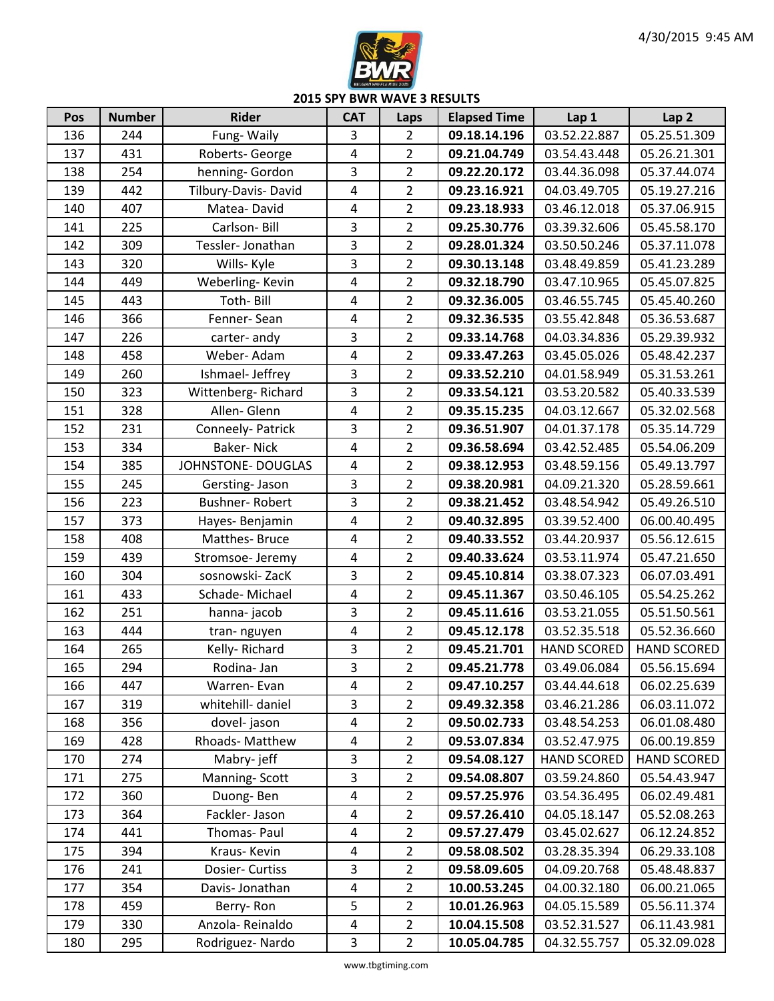

| Pos | <b>Number</b> | <b>Rider</b>          | <b>CAT</b>              | Laps           | <b>Elapsed Time</b> | Lap 1              | Lap <sub>2</sub>   |
|-----|---------------|-----------------------|-------------------------|----------------|---------------------|--------------------|--------------------|
| 136 | 244           | Fung-Waily            | 3                       | $\overline{2}$ | 09.18.14.196        | 03.52.22.887       | 05.25.51.309       |
| 137 | 431           | Roberts- George       | $\overline{4}$          | $\overline{2}$ | 09.21.04.749        | 03.54.43.448       | 05.26.21.301       |
| 138 | 254           | henning- Gordon       | 3                       | $\overline{2}$ | 09.22.20.172        | 03.44.36.098       | 05.37.44.074       |
| 139 | 442           | Tilbury-Davis-David   | $\overline{4}$          | $\overline{2}$ | 09.23.16.921        | 04.03.49.705       | 05.19.27.216       |
| 140 | 407           | Matea-David           | $\overline{\mathbf{4}}$ | $\overline{2}$ | 09.23.18.933        | 03.46.12.018       | 05.37.06.915       |
| 141 | 225           | Carlson-Bill          | $\overline{3}$          | $\overline{2}$ | 09.25.30.776        | 03.39.32.606       | 05.45.58.170       |
| 142 | 309           | Tessler-Jonathan      | $\overline{3}$          | $\overline{2}$ | 09.28.01.324        | 03.50.50.246       | 05.37.11.078       |
| 143 | 320           | Wills- Kyle           | 3                       | $\overline{2}$ | 09.30.13.148        | 03.48.49.859       | 05.41.23.289       |
| 144 | 449           | Weberling-Kevin       | $\overline{4}$          | $\overline{2}$ | 09.32.18.790        | 03.47.10.965       | 05.45.07.825       |
| 145 | 443           | Toth-Bill             | 4                       | $\overline{2}$ | 09.32.36.005        | 03.46.55.745       | 05.45.40.260       |
| 146 | 366           | Fenner-Sean           | $\overline{4}$          | $\overline{2}$ | 09.32.36.535        | 03.55.42.848       | 05.36.53.687       |
| 147 | 226           | carter-andy           | 3                       | $\overline{2}$ | 09.33.14.768        | 04.03.34.836       | 05.29.39.932       |
| 148 | 458           | Weber-Adam            | $\overline{4}$          | $\overline{2}$ | 09.33.47.263        | 03.45.05.026       | 05.48.42.237       |
| 149 | 260           | Ishmael-Jeffrey       | $\mathbf{3}$            | $\overline{2}$ | 09.33.52.210        | 04.01.58.949       | 05.31.53.261       |
| 150 | 323           | Wittenberg-Richard    | $\mathbf{3}$            | $\overline{2}$ | 09.33.54.121        | 03.53.20.582       | 05.40.33.539       |
| 151 | 328           | Allen-Glenn           | $\overline{\mathbf{4}}$ | $\overline{2}$ | 09.35.15.235        | 04.03.12.667       | 05.32.02.568       |
| 152 | 231           | Conneely- Patrick     | 3                       | $\overline{2}$ | 09.36.51.907        | 04.01.37.178       | 05.35.14.729       |
| 153 | 334           | <b>Baker-Nick</b>     | $\overline{4}$          | $\overline{2}$ | 09.36.58.694        | 03.42.52.485       | 05.54.06.209       |
| 154 | 385           | JOHNSTONE-DOUGLAS     | $\overline{4}$          | $\overline{2}$ | 09.38.12.953        | 03.48.59.156       | 05.49.13.797       |
| 155 | 245           | Gersting-Jason        | 3                       | $\overline{2}$ | 09.38.20.981        | 04.09.21.320       | 05.28.59.661       |
| 156 | 223           | <b>Bushner-Robert</b> | 3                       | $\overline{2}$ | 09.38.21.452        | 03.48.54.942       | 05.49.26.510       |
| 157 | 373           | Hayes-Benjamin        | $\overline{\mathbf{4}}$ | $\overline{2}$ | 09.40.32.895        | 03.39.52.400       | 06.00.40.495       |
| 158 | 408           | Matthes-Bruce         | $\overline{4}$          | $\overline{2}$ | 09.40.33.552        | 03.44.20.937       | 05.56.12.615       |
| 159 | 439           | Stromsoe- Jeremy      | $\overline{\mathbf{4}}$ | $\overline{2}$ | 09.40.33.624        | 03.53.11.974       | 05.47.21.650       |
| 160 | 304           | sosnowski-ZacK        | $\overline{3}$          | $\overline{2}$ | 09.45.10.814        | 03.38.07.323       | 06.07.03.491       |
| 161 | 433           | Schade-Michael        | $\overline{4}$          | $\overline{2}$ | 09.45.11.367        | 03.50.46.105       | 05.54.25.262       |
| 162 | 251           | hanna-jacob           | 3                       | $\overline{2}$ | 09.45.11.616        | 03.53.21.055       | 05.51.50.561       |
| 163 | 444           | tran-nguyen           | $\overline{\mathbf{4}}$ | $\overline{2}$ | 09.45.12.178        | 03.52.35.518       | 05.52.36.660       |
| 164 | 265           | Kelly-Richard         | 3                       | $\overline{2}$ | 09.45.21.701        | <b>HAND SCORED</b> | <b>HAND SCORED</b> |
| 165 | 294           | Rodina- Jan           | 3                       | $\overline{2}$ | 09.45.21.778        | 03.49.06.084       | 05.56.15.694       |
| 166 | 447           | Warren-Evan           | 4                       | $\overline{2}$ | 09.47.10.257        | 03.44.44.618       | 06.02.25.639       |
| 167 | 319           | whitehill- daniel     | $\overline{3}$          | $\overline{2}$ | 09.49.32.358        | 03.46.21.286       | 06.03.11.072       |
| 168 | 356           | dovel-jason           | $\overline{4}$          | $\overline{2}$ | 09.50.02.733        | 03.48.54.253       | 06.01.08.480       |
| 169 | 428           | Rhoads-Matthew        | 4                       | $\overline{2}$ | 09.53.07.834        | 03.52.47.975       | 06.00.19.859       |
| 170 | 274           | Mabry-jeff            | 3                       | $\overline{2}$ | 09.54.08.127        | <b>HAND SCORED</b> | <b>HAND SCORED</b> |
| 171 | 275           | Manning-Scott         | 3                       | $\overline{2}$ | 09.54.08.807        | 03.59.24.860       | 05.54.43.947       |
| 172 | 360           | Duong-Ben             | $\overline{4}$          | $\overline{2}$ | 09.57.25.976        | 03.54.36.495       | 06.02.49.481       |
| 173 | 364           | Fackler-Jason         | $\overline{4}$          | $\overline{2}$ | 09.57.26.410        | 04.05.18.147       | 05.52.08.263       |
| 174 | 441           | Thomas- Paul          | $\overline{4}$          | $\overline{2}$ | 09.57.27.479        | 03.45.02.627       | 06.12.24.852       |
| 175 | 394           | Kraus-Kevin           | $\overline{4}$          | $\overline{2}$ | 09.58.08.502        | 03.28.35.394       | 06.29.33.108       |
| 176 | 241           | Dosier- Curtiss       | 3                       | $\overline{2}$ | 09.58.09.605        | 04.09.20.768       | 05.48.48.837       |
| 177 | 354           | Davis-Jonathan        | $\overline{a}$          | $\overline{2}$ | 10.00.53.245        | 04.00.32.180       | 06.00.21.065       |
| 178 | 459           | Berry-Ron             | 5                       | $\overline{2}$ | 10.01.26.963        | 04.05.15.589       | 05.56.11.374       |
| 179 | 330           | Anzola-Reinaldo       | $\overline{4}$          | $\overline{2}$ | 10.04.15.508        | 03.52.31.527       | 06.11.43.981       |
| 180 | 295           | Rodriguez-Nardo       | $\mathbf{3}$            | $\overline{2}$ | 10.05.04.785        | 04.32.55.757       | 05.32.09.028       |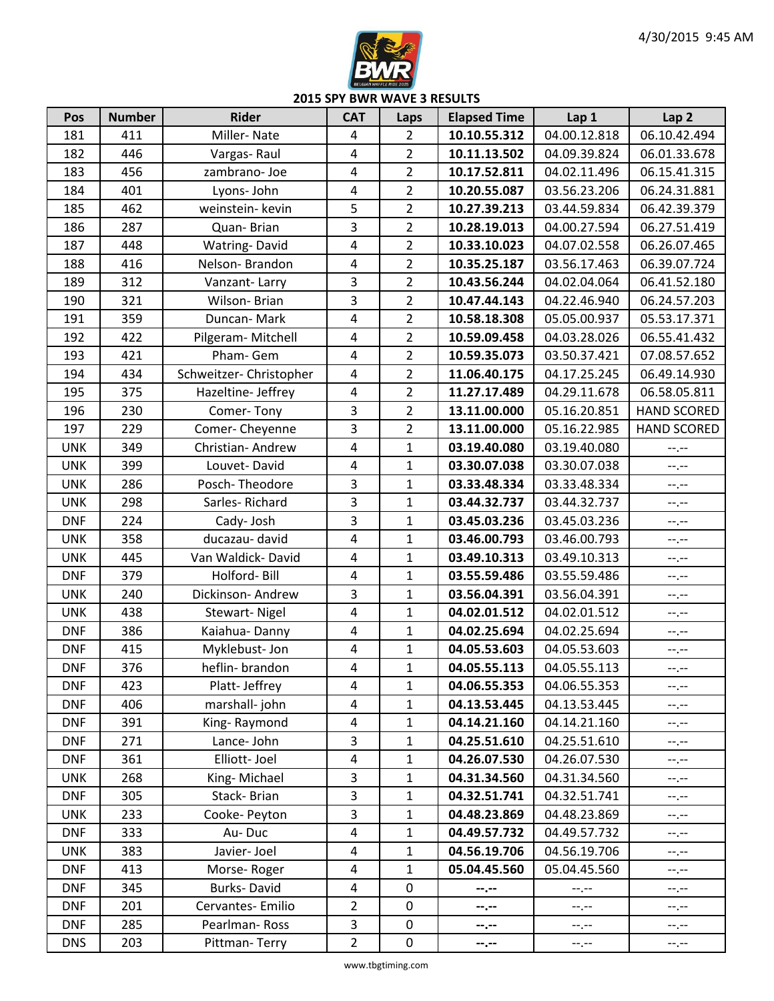

| Pos        | <b>Number</b> | <b>Rider</b>            | <b>CAT</b>              | Laps           | <b>Elapsed Time</b> | Lap 1        | Lap <sub>2</sub>   |
|------------|---------------|-------------------------|-------------------------|----------------|---------------------|--------------|--------------------|
| 181        | 411           | Miller-Nate             | $\overline{4}$          | $\overline{2}$ | 10.10.55.312        | 04.00.12.818 | 06.10.42.494       |
| 182        | 446           | Vargas-Raul             | 4                       | $\overline{2}$ | 10.11.13.502        | 04.09.39.824 | 06.01.33.678       |
| 183        | 456           | zambrano-Joe            | $\overline{4}$          | $\overline{2}$ | 10.17.52.811        | 04.02.11.496 | 06.15.41.315       |
| 184        | 401           | Lyons- John             | $\overline{\mathbf{4}}$ | $\overline{2}$ | 10.20.55.087        | 03.56.23.206 | 06.24.31.881       |
| 185        | 462           | weinstein- kevin        | 5                       | $\overline{2}$ | 10.27.39.213        | 03.44.59.834 | 06.42.39.379       |
| 186        | 287           | Quan-Brian              | 3                       | $\overline{2}$ | 10.28.19.013        | 04.00.27.594 | 06.27.51.419       |
| 187        | 448           | Watring-David           | 4                       | $\overline{2}$ | 10.33.10.023        | 04.07.02.558 | 06.26.07.465       |
| 188        | 416           | Nelson-Brandon          | $\overline{4}$          | $\overline{2}$ | 10.35.25.187        | 03.56.17.463 | 06.39.07.724       |
| 189        | 312           | Vanzant-Larry           | 3                       | $\overline{2}$ | 10.43.56.244        | 04.02.04.064 | 06.41.52.180       |
| 190        | 321           | Wilson-Brian            | 3                       | $\overline{2}$ | 10.47.44.143        | 04.22.46.940 | 06.24.57.203       |
| 191        | 359           | Duncan-Mark             | $\overline{4}$          | $\overline{2}$ | 10.58.18.308        | 05.05.00.937 | 05.53.17.371       |
| 192        | 422           | Pilgeram- Mitchell      | $\overline{4}$          | $\overline{2}$ | 10.59.09.458        | 04.03.28.026 | 06.55.41.432       |
| 193        | 421           | Pham-Gem                | $\overline{4}$          | $\overline{2}$ | 10.59.35.073        | 03.50.37.421 | 07.08.57.652       |
| 194        | 434           | Schweitzer- Christopher | $\overline{\mathbf{4}}$ | $\overline{2}$ | 11.06.40.175        | 04.17.25.245 | 06.49.14.930       |
| 195        | 375           | Hazeltine- Jeffrey      | $\overline{4}$          | $\overline{2}$ | 11.27.17.489        | 04.29.11.678 | 06.58.05.811       |
| 196        | 230           | Comer-Tony              | 3                       | $\overline{2}$ | 13.11.00.000        | 05.16.20.851 | <b>HAND SCORED</b> |
| 197        | 229           | Comer-Cheyenne          | 3                       | $\overline{2}$ | 13.11.00.000        | 05.16.22.985 | <b>HAND SCORED</b> |
| <b>UNK</b> | 349           | Christian- Andrew       | $\overline{4}$          | 1              | 03.19.40.080        | 03.19.40.080 | --.--              |
| <b>UNK</b> | 399           | Louvet-David            | $\overline{\mathbf{4}}$ | $\mathbf{1}$   | 03.30.07.038        | 03.30.07.038 | --.--              |
| <b>UNK</b> | 286           | Posch-Theodore          | 3                       | $\mathbf{1}$   | 03.33.48.334        | 03.33.48.334 | $-1, -1$           |
| <b>UNK</b> | 298           | Sarles-Richard          | 3                       | $\mathbf 1$    | 03.44.32.737        | 03.44.32.737 | --.--              |
| <b>DNF</b> | 224           | Cady-Josh               | 3                       | $\mathbf{1}$   | 03.45.03.236        | 03.45.03.236 | --.--              |
| <b>UNK</b> | 358           | ducazau- david          | $\overline{4}$          | $\mathbf{1}$   | 03.46.00.793        | 03.46.00.793 | $-1, -1$           |
| <b>UNK</b> | 445           | Van Waldick-David       | 4                       | 1              | 03.49.10.313        | 03.49.10.313 | $-1, -1$           |
| <b>DNF</b> | 379           | Holford-Bill            | $\overline{4}$          | $\mathbf{1}$   | 03.55.59.486        | 03.55.59.486 | $-1, -1$           |
| <b>UNK</b> | 240           | Dickinson-Andrew        | 3                       | $\mathbf{1}$   | 03.56.04.391        | 03.56.04.391 | $-1, -1$           |
| <b>UNK</b> | 438           | <b>Stewart-Nigel</b>    | $\overline{4}$          | $\mathbf{1}$   | 04.02.01.512        | 04.02.01.512 | --.--              |
| <b>DNF</b> | 386           | Kaiahua-Danny           | $\overline{4}$          | $\mathbf{1}$   | 04.02.25.694        | 04.02.25.694 | $-1$ . $-1$        |
| <b>DNF</b> | 415           | Myklebust-Jon           | $\overline{4}$          | $\mathbf{1}$   | 04.05.53.603        | 04.05.53.603 | $-1, -1$           |
| <b>DNF</b> | 376           | heflin- brandon         | $\overline{4}$          | $\mathbf{1}$   | 04.05.55.113        | 04.05.55.113 | --,--              |
| <b>DNF</b> | 423           | Platt- Jeffrey          | 4                       | $\mathbf{1}$   | 04.06.55.353        | 04.06.55.353 | --.--              |
| <b>DNF</b> | 406           | marshall-john           | 4                       | $\mathbf{1}$   | 04.13.53.445        | 04.13.53.445 | $-1, -1$           |
| <b>DNF</b> | 391           | King-Raymond            | $\overline{\mathbf{4}}$ | $\mathbf{1}$   | 04.14.21.160        | 04.14.21.160 | $--, --$           |
| <b>DNF</b> | 271           | Lance-John              | 3                       | $\mathbf{1}$   | 04.25.51.610        | 04.25.51.610 | --.--              |
| <b>DNF</b> | 361           | Elliott-Joel            | $\overline{\mathbf{4}}$ | $\mathbf{1}$   | 04.26.07.530        | 04.26.07.530 | --.--              |
| <b>UNK</b> | 268           | King-Michael            | 3                       | $\mathbf{1}$   | 04.31.34.560        | 04.31.34.560 | --.--              |
| <b>DNF</b> | 305           | Stack-Brian             | 3                       | $\mathbf{1}$   | 04.32.51.741        | 04.32.51.741 | --.--              |
| <b>UNK</b> | 233           | Cooke- Peyton           | 3                       | $\mathbf{1}$   | 04.48.23.869        | 04.48.23.869 | $-1, -1$           |
| <b>DNF</b> | 333           | Au-Duc                  | $\overline{\mathbf{4}}$ | $\mathbf{1}$   | 04.49.57.732        | 04.49.57.732 | --.--              |
| <b>UNK</b> | 383           | Javier- Joel            | $\overline{4}$          | $\mathbf{1}$   | 04.56.19.706        | 04.56.19.706 | $-1, -1$           |
| <b>DNF</b> | 413           | Morse-Roger             | $\overline{4}$          | $\mathbf{1}$   | 05.04.45.560        | 05.04.45.560 | $-1, -1$           |
| <b>DNF</b> | 345           | Burks-David             | $\overline{4}$          | 0              | --.--               | --.--        | $-1, -1$           |
| <b>DNF</b> | 201           | Cervantes-Emilio        | $\overline{2}$          | 0              | --.--               | $-1, -1$     | $--, --$           |
| <b>DNF</b> | 285           | Pearlman-Ross           | $\overline{\mathbf{3}}$ | 0              | --.--               | $--, --$     | --.--              |
| <b>DNS</b> | 203           | Pittman-Terry           | $\overline{2}$          | 0              | --.--               | $-1, -1$     | $\pm$              |